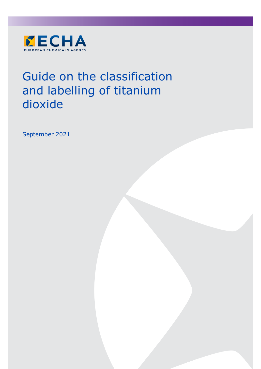

# Guide on the classification and labelling of titanium dioxide

September 2021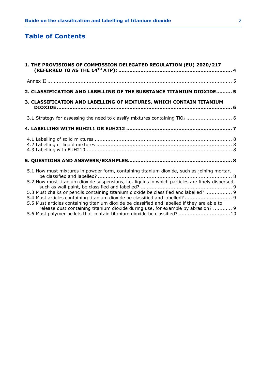# **Table of Contents**

| 1. THE PROVISIONS OF COMMISSION DELEGATED REGULATION (EU) 2020/217                                                                                                                                                                                                                                                                                                                                                                                                                                                                                                                                                                      |  |  |  |  |  |  |  |  |  |
|-----------------------------------------------------------------------------------------------------------------------------------------------------------------------------------------------------------------------------------------------------------------------------------------------------------------------------------------------------------------------------------------------------------------------------------------------------------------------------------------------------------------------------------------------------------------------------------------------------------------------------------------|--|--|--|--|--|--|--|--|--|
|                                                                                                                                                                                                                                                                                                                                                                                                                                                                                                                                                                                                                                         |  |  |  |  |  |  |  |  |  |
| 2. CLASSIFICATION AND LABELLING OF THE SUBSTANCE TITANIUM DIOXIDE 5                                                                                                                                                                                                                                                                                                                                                                                                                                                                                                                                                                     |  |  |  |  |  |  |  |  |  |
| 3. CLASSIFICATION AND LABELLING OF MIXTURES, WHICH CONTAIN TITANIUM                                                                                                                                                                                                                                                                                                                                                                                                                                                                                                                                                                     |  |  |  |  |  |  |  |  |  |
|                                                                                                                                                                                                                                                                                                                                                                                                                                                                                                                                                                                                                                         |  |  |  |  |  |  |  |  |  |
|                                                                                                                                                                                                                                                                                                                                                                                                                                                                                                                                                                                                                                         |  |  |  |  |  |  |  |  |  |
|                                                                                                                                                                                                                                                                                                                                                                                                                                                                                                                                                                                                                                         |  |  |  |  |  |  |  |  |  |
|                                                                                                                                                                                                                                                                                                                                                                                                                                                                                                                                                                                                                                         |  |  |  |  |  |  |  |  |  |
| 5.1 How must mixtures in powder form, containing titanium dioxide, such as joining mortar,<br>5.2 How must titanium dioxide suspensions, i.e. liquids in which particles are finely dispersed,<br>5.3 Must chalks or pencils containing titanium dioxide be classified and labelled?  9<br>5.4 Must articles containing titanium dioxide be classified and labelled?  9<br>5.5 Must articles containing titanium dioxide be classified and labelled if they are able to<br>release dust containing titanium dioxide during use, for example by abrasion?  9<br>5.6 Must polymer pellets that contain titanium dioxide be classified? 10 |  |  |  |  |  |  |  |  |  |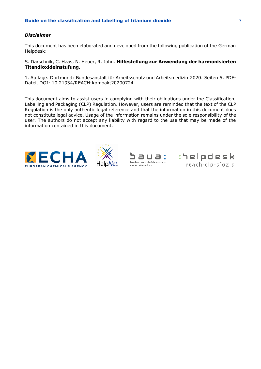## *Disclaimer*

This document has been elaborated and developed from the following publication of the German Helpdesk:

S. Darschnik, C. Haas, N. Heuer, R. John. **Hilfestellung zur Anwendung der harmonisierten Titandioxideinstufung.**

1. Auflage. Dortmund: Bundesanstalt für Arbeitsschutz und Arbeitsmedizin 2020. Seiten 5, PDF-Datei, DOI: 10.21934/REACH:kompakt20200724

This document aims to assist users in complying with their obligations under the Classification, Labelling and Packaging (CLP) Regulation. However, users are reminded that the text of the CLP Regulation is the only authentic legal reference and that the information in this document does not constitute legal advice. Usage of the information remains under the sole responsibility of the user. The authors do not accept any liability with regard to the use that may be made of the information contained in this document.







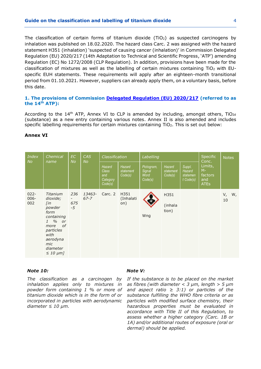The classification of certain forms of titanium dioxide ( $TiO<sub>2</sub>$ ) as suspected carcinogens by inhalation was published on 18.02.2020. The hazard class Carc. 2 was assigned with the hazard statement H351 (inhalation) 'suspected of causing cancer (inhalation)' in Commission Delegated Regulation (EU) 2020/217 (14th Adaptation to Technical and Scientific Progress, 'ATP') amending Regulation (EC) No 1272/2008 (CLP Regulation). In addition, provisions have been made for the classification of mixtures as well as the labelling of certain mixtures containing TiO<sup>2</sup> with EUspecific EUH statements. These requirements will apply after an eighteen-month transitional period from 01.10.2021. However, suppliers can already apply them, on a voluntary basis, before this date.

# <span id="page-3-0"></span>**1. The provisions of Commission [Delegated Regulation \(EU\) 2020/217](https://eur-lex.europa.eu/legal-content/EN/TXT/?uri=uriserv:OJ.L_.2020.044.01.0001.01.ENG) (referred to as the 14th ATP):**

According to the 14<sup>th</sup> ATP, Annex VI to CLP is amended by including, amongst others, TiO<sub>2d</sub> (substance) as a new entry containing various notes. Annex II is also amended and includes specific labelling requirements for certain mixtures containing TiO2. This is set out below:

| <b>Index</b><br><b>No</b> | Chemical<br>name                                                                                                                                                                  | <b>EC</b><br><b>No</b>                         | <b>CAS</b><br>No   | Classification                                              |                                       | Labelling                               |                                       |                                                | <b>Specific</b><br>Conc.                          | <b>Notes</b>        |
|---------------------------|-----------------------------------------------------------------------------------------------------------------------------------------------------------------------------------|------------------------------------------------|--------------------|-------------------------------------------------------------|---------------------------------------|-----------------------------------------|---------------------------------------|------------------------------------------------|---------------------------------------------------|---------------------|
|                           |                                                                                                                                                                                   |                                                |                    | <b>Hazard</b><br><b>Class</b><br>and<br>Category<br>Code(s) | <b>Hazard</b><br>statement<br>Code(s) | Pictogram,<br>Signal<br>Word<br>Code(s) | <b>Hazard</b><br>statement<br>Code(s) | Suppl.<br>Hazard<br>statemen<br>$t$ Code $(s)$ | Limits,<br>$M -$<br>factors<br>and<br><b>ATEs</b> |                     |
| $022 -$<br>$006 -$<br>002 | Titanium<br>dioxide;<br>[in<br>powder<br>form<br>containing<br>$\%$<br>$\mathcal{I}$<br>or<br>οf<br>more<br>particles<br>with<br>aerodyna<br>mic<br>diameter<br>$\leq 10 \mu m$ ] | 236<br>$\overline{\phantom{0}}$<br>675<br>$-5$ | 13463-<br>$67 - 7$ | Carc. 2                                                     | H351<br>(Inhalati<br>on)              | Wng                                     | H351<br>(inhala<br>tion)              |                                                |                                                   | $V_{I}$<br>W,<br>10 |

#### **Annex VI**

# *Note 10:*

*The classification as a carcinogen by inhalation applies only to mixtures in powder form containing 1 % or more of titanium dioxide which is in the form of or incorporated in particles with aerodynamic diameter ≤ 10 μm.*

# *Note V:*

*If the substance is to be placed on the market as fibres (with diameter < 3 μm, length > 5 μm and aspect ratio ≥ 3:1) or particles of the substance fulfilling the WHO fibre criteria or as particles with modified surface chemistry, their hazardous properties must be evaluated in accordance with Title II of this Regulation, to assess whether a higher category (Carc. 1B or 1A) and/or additional routes of exposure (oral or dermal) should be applied.*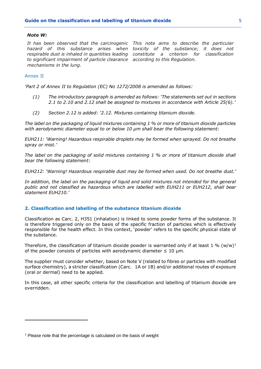#### *Note W:*

*It has been observed that the carcinogenic This note aims to describe the particular hazard of this substance arises when toxicity of the substance; it does not respirable dust is inhaled in quantities leading constitute a criterion for classification to significant impairment of particle clearance according to this Regulation. mechanisms in the lung.*

#### <span id="page-4-0"></span>Annex II

*'Part 2 of Annex II to Regulation (EC) No 1272/2008 is amended as follows:*

- *(1) The introductory paragraph is amended as follows: 'The statements set out in sections 2.1 to 2.10 and 2.12 shall be assigned to mixtures in accordance with Article 25(6).'*
- *(2) Section 2.12 is added: '2.12. Mixtures containing titanium dioxide.*

*The label on the packaging of liquid mixtures containing 1 % or more of titanium dioxide particles with aerodynamic diameter equal to or below 10 μm shall bear the following statement:*

*EUH211: 'Warning! Hazardous respirable droplets may be formed when sprayed. Do not breathe spray or mist.'*

*The label on the packaging of solid mixtures containing 1 % or more of titanium dioxide shall bear the following statement:*

*EUH212: 'Warning! Hazardous respirable dust may be formed when used. Do not breathe dust.'*

*In addition, the label on the packaging of liquid and solid mixtures not intended for the general public and not classified as hazardous which are labelled with EUH211 or EUH212, shall bear statement EUH210.'*

# <span id="page-4-1"></span>**2. Classification and labelling of the substance titanium dioxide**

Classification as Carc. 2, H351 (inhalation) is linked to some powder forms of the substance. It is therefore triggered only on the basis of the specific fraction of particles which is effectively responsible for the health effect. In this context, 'powder' refers to the specific physical state of the substance.

Therefore, the classification of titanium dioxide powder is warranted only if at least 1 %  $(w/w)^1$ of the powder consists of particles with aerodynamic diameter  $\leq 10$  µm.

The supplier must consider whether, based on Note V (related to fibres or particles with modified surface chemistry), a stricter classification (Carc. 1A or 1B) and/or additional routes of exposure (oral or dermal) need to be applied.

In this case, all other specific criteria for the classification and labelling of titanium dioxide are overridden.

 $<sup>1</sup>$  Please note that the percentage is calculated on the basis of weight</sup>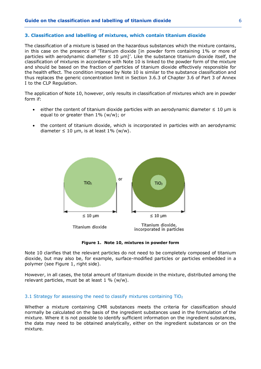## <span id="page-5-0"></span>**3. Classification and labelling of mixtures, which contain titanium dioxide**

The classification of a mixture is based on the hazardous substances which the mixture contains, in this case on the presence of 'Titanium dioxide [in powder form containing 1% or more of particles with aerodynamic diameter  $\leq 10$  µm]'. Like the substance titanium dioxide itself, the classification of mixtures in accordance with Note 10 is linked to the powder form of the mixture and should be based on the fraction of particles of titanium dioxide effectively responsible for the health effect. The condition imposed by Note 10 is similar to the substance classification and thus replaces the generic concentration limit in Section 3.6.3 of Chapter 3.6 of Part 3 of Annex I to the CLP Regulation.

The application of Note 10, however, only results in classification of mixtures which are in powder form if:

- either the content of titanium dioxide particles with an aerodynamic diameter  $\leq 10$  µm is equal to or greater than 1% (w/w); or
- the content of titanium dioxide, which is incorporated in particles with an aerodynamic diameter  $\leq 10$  µm, is at least 1% (w/w).



**Figure 1. Note 10, mixtures in powder form**

Note 10 clarifies that the relevant particles do not need to be completely composed of titanium dioxide, but may also be, for example, surface-modified particles or particles embedded in a polymer (see Figure 1, right side).

However, in all cases, the total amount of titanium dioxide in the mixture, distributed among the relevant particles, must be at least  $1\%$  (w/w).

#### <span id="page-5-1"></span>3.1 Strategy for assessing the need to classify mixtures containing  $TiO<sub>2</sub>$

Whether a mixture containing CMR substances meets the criteria for classification should normally be calculated on the basis of the ingredient substances used in the formulation of the mixture. Where it is not possible to identify sufficient information on the ingredient substances, the data may need to be obtained analytically, either on the ingredient substances or on the mixture.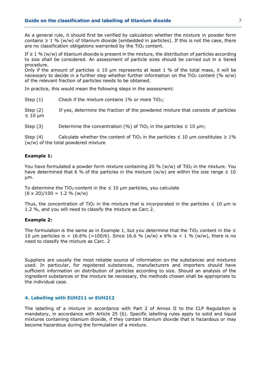As a general rule, it should first be verified by calculation whether the mixture in powder form contains  $\geq 1$  % (w/w) of titanium dioxide (embedded in particles). If this is not the case, there are no classification obligations warranted by the  $TiO<sub>2</sub>$  content.

If  $\geq 1$  % (w/w) of titanium dioxide is present in the mixture, the distribution of particles according to size shall be considered. An assessment of particle sizes should be carried out in a tiered procedure.

Only if the amount of particles  $\leq 10$  µm represents at least 1 % of the total mass, it will be necessary to decide in a further step whether further information on the TiO<sub>2</sub> content (%  $w/w$ ) of the relevant fraction of particles needs to be obtained.

In practice, this would mean the following steps in the assessment:

Step  $(1)$  Check if the mixture contains 1% or more TiO<sub>2</sub>;

Step (2) If yes, determine the fraction of the powdered mixture that consists of particles ≤ 10 μm

Step (3) Determine the concentration (%) of TiO<sub>2</sub> in the particles  $\leq 10 \text{ }\mu\text{m}$ ;

Step (4) Calculate whether the content of TiO<sub>2</sub> in the particles  $\leq 10$  µm constitutes  $\geq 1\%$ (w/w) of the total powdered mixture

# **Example 1:**

You have formulated a powder form mixture containing 20 % (w/w) of TiO<sub>2</sub> in the mixture. You have determined that 6 % of the particles in the mixture (w/w) are within the size range  $\leq 10$ μm.

To determine the TiO<sub>2</sub>-content in the  $\leq$  10 µm particles, you calculate  $(6 \times 20)/100 = 1.2 % (w/w)$ 

Thus, the concentration of TiO<sub>2</sub> in the mixture that is incorporated in the particles  $\leq 10$  µm is 1.2 %, and you will need to classify the mixture as Carc 2.

# **Example 2:**

The formulation is the same as in Example 1, but you determine that the TiO<sub>2</sub> content in the  $\leq$ 10 µm particles is  $\lt 16.6\%$  (=100/6). Since 16.6 % (w/w) x 6% is  $\lt 1$  % (w/w), there is no need to classify the mixture as Carc. 2

Suppliers are usually the most reliable source of information on the substances and mixtures used. In particular, for registered substances, manufacturers and importers should have sufficient information on distribution of particles according to size. Should an analysis of the ingredient substances or the mixture be necessary, the methods chosen shall be appropriate to the individual case.

# <span id="page-6-0"></span>**4. Labelling with EUH211 or EUH212**

The labelling of a mixture in accordance with Part 2 of Annex II to the CLP Regulation is mandatory, in accordance with Article 25 (6). Specific labelling rules apply to solid and liquid mixtures containing titanium dioxide, if they contain titanium dioxide that is hazardous or may become hazardous during the formulation of a mixture.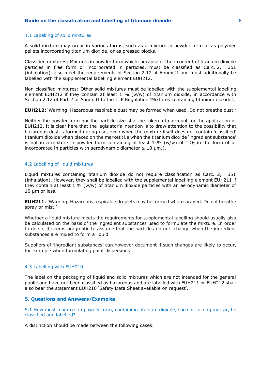#### <span id="page-7-0"></span>4.1 Labelling of solid mixtures

A solid mixture may occur in various forms, such as a mixture in powder form or as polymer pellets incorporating titanium dioxide, or as pressed blocks.

Classified mixtures: Mixtures in powder form which, because of their content of titanium dioxide particles in free form or incorporated in particles, must be classified as Carc. 2, H351 (inhalation), also meet the requirements of Section 2.12 of Annex II and must additionally be labelled with the supplemental labelling element EUH212.

Non-classified mixtures: Other solid mixtures must be labelled with the supplemental labelling element EUH212 if they contain at least  $1\%$  (w/w) of titanium dioxide, in accordance with Section 2.12 of Part 2 of Annex II to the CLP Regulation 'Mixtures containing titanium dioxide'.

**EUH212:** 'Warning! Hazardous respirable dust may be formed when used. Do not breathe dust.'

Neither the powder form nor the particle size shall be taken into account for the application of EUH212. It is clear here that the legislator's intention is to draw attention to the possibility that hazardous dust is formed during use, even when the mixture itself does not contain 'classified' titanium dioxide when placed on the market (i.e when the titanium dioxide 'ingredient substance' is not in a mixture in powder form containing at least  $1\%$  (w/w) of TiO<sub>2</sub> in the form of or incorporated in particles with aerodynamic diameter  $\leq 10$  µm.).

## <span id="page-7-1"></span>4.2 Labelling of liquid mixtures

Liquid mixtures containing titanium dioxide do not require classification as Carc. 2, H351 (inhalation). However, they shall be labelled with the supplemental labelling element EUH211 if they contain at least 1 % (w/w) of titanium dioxide particles with an aerodynamic diameter of 10 μm or less.

**EUH211**: 'Warning! Hazardous respirable droplets may be formed when sprayed. Do not breathe spray or mist.'

Whether a liquid mixture meets the requirements for supplemental labelling should usually also be calculated on the basis of the ingredient substances used to formulate the mixture. In order to do so, it seems pragmatic to assume that the particles do not change when the ingredient substances are mixed to form a liquid.

Suppliers of 'ingredient substances' can however document if such changes are likely to occur, for example when formulating paint dispersions

#### <span id="page-7-2"></span>4.3 Labelling with EUH210

The label on the packaging of liquid and solid mixtures which are not intended for the general public and have not been classified as hazardous and are labelled with EUH211 or EUH212 shall also bear the statement EUH210 'Safety Data Sheet available on request'.

## <span id="page-7-3"></span>**5. Questions and Answers/Examples**

<span id="page-7-4"></span>5.1 How must mixtures in powder form, containing titanium dioxide, such as joining mortar, be classified and labelled?

A distinction should be made between the following cases: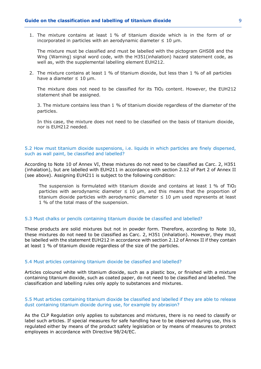1. The mixture contains at least 1 % of titanium dioxide which is in the form of or incorporated in particles with an aerodynamic diameter  $\leq 10$  µm.

The mixture must be classified and must be labelled with the pictogram GHS08 and the Wng (Warning) signal word code, with the H351(inhalation) hazard statement code, as well as, with the supplemental labelling element EUH212.

2. The mixture contains at least 1 % of titanium dioxide, but less than 1 % of all particles have a diameter  $\leq 10$  µm.

The mixture does not need to be classified for its  $TiO<sub>2</sub>$  content. However, the EUH212 statement shall be assigned.

3. The mixture contains less than 1 % of titanium dioxide regardless of the diameter of the particles.

In this case, the mixture does not need to be classified on the basis of titanium dioxide, nor is EUH212 needed.

# <span id="page-8-0"></span>5.2 How must titanium dioxide suspensions, i.e. liquids in which particles are finely dispersed, such as wall paint, be classified and labelled?

According to Note 10 of Annex VI, these mixtures do not need to be classified as Carc. 2, H351 (inhalation), but are labelled with EUH211 in accordance with section 2.12 of Part 2 of Annex II (see above). Assigning EUH211 is subject to the following condition:

The suspension is formulated with titanium dioxide and contains at least 1 % of TiO<sub>2</sub> particles with aerodynamic diameter  $\leq 10$  µm, and this means that the proportion of titanium dioxide particles with aerodynamic diameter  $\leq 10$  µm used represents at least 1 % of the total mass of the suspension.

## <span id="page-8-1"></span>5.3 Must chalks or pencils containing titanium dioxide be classified and labelled?

These products are solid mixtures but not in powder form. Therefore, according to Note 10, these mixtures do not need to be classified as Carc. 2, H351 (inhalation). However, they must be labelled with the statement EUH212 in accordance with section 2.12 of Annex II if they contain at least 1 % of titanium dioxide regardless of the size of the particles.

#### <span id="page-8-2"></span>5.4 Must articles containing titanium dioxide be classified and labelled?

Articles coloured white with titanium dioxide, such as a plastic box, or finished with a mixture containing titanium dioxide, such as coated paper, do not need to be classified and labelled. The classification and labelling rules only apply to substances and mixtures.

# <span id="page-8-3"></span>5.5 Must articles containing titanium dioxide be classified and labelled if they are able to release dust containing titanium dioxide during use, for example by abrasion?

As the CLP Regulation only applies to substances and mixtures, there is no need to classify or label such articles. If special measures for safe handling have to be observed during use, this is regulated either by means of the product safety legislation or by means of measures to protect employees in accordance with Directive 98/24/EC.